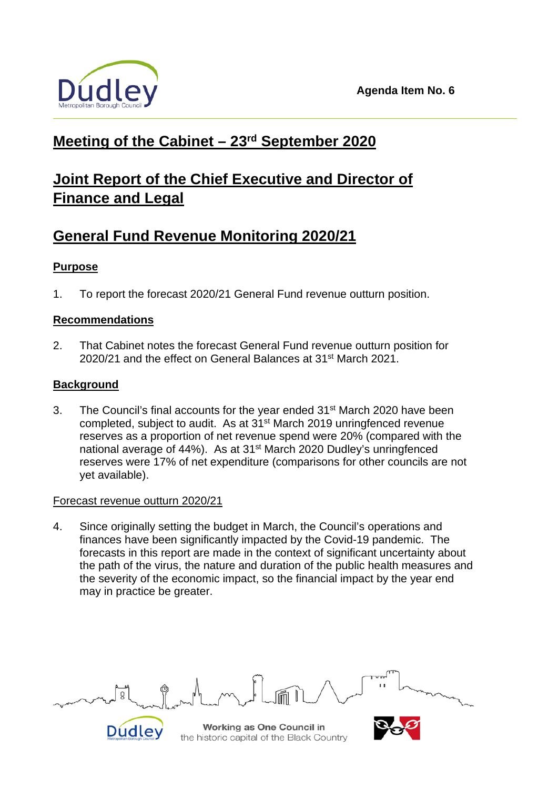

## **Meeting of the Cabinet – 23rd September 2020**

# **Joint Report of the Chief Executive and Director of Finance and Legal**

## **General Fund Revenue Monitoring 2020/21**

## **Purpose**

1. To report the forecast 2020/21 General Fund revenue outturn position.

## **Recommendations**

2. That Cabinet notes the forecast General Fund revenue outturn position for 2020/21 and the effect on General Balances at 31st March 2021.

## **Background**

3. The Council's final accounts for the year ended 31<sup>st</sup> March 2020 have been completed, subject to audit. As at 31<sup>st</sup> March 2019 unringfenced revenue reserves as a proportion of net revenue spend were 20% (compared with the national average of 44%). As at 31<sup>st</sup> March 2020 Dudley's unringfenced reserves were 17% of net expenditure (comparisons for other councils are not yet available).

### Forecast revenue outturn 2020/21

4. Since originally setting the budget in March, the Council's operations and finances have been significantly impacted by the Covid-19 pandemic. The forecasts in this report are made in the context of significant uncertainty about the path of the virus, the nature and duration of the public health measures and the severity of the economic impact, so the financial impact by the year end may in practice be greater.

ğ



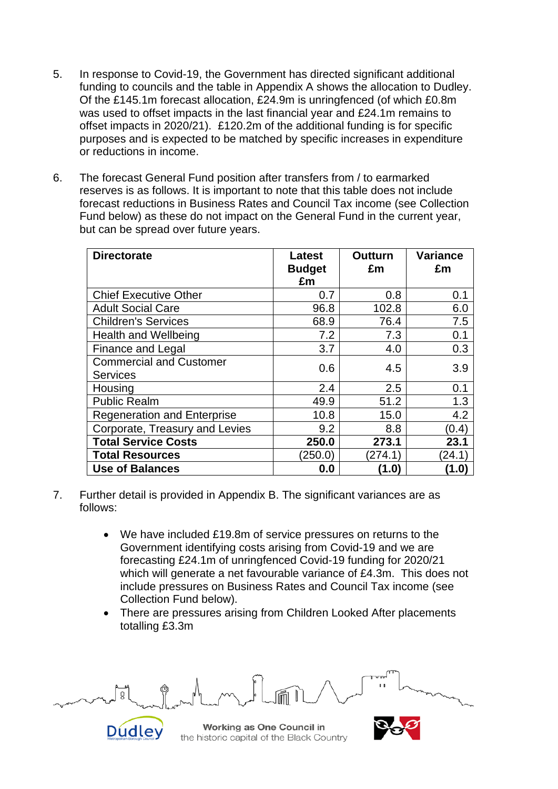- 5. In response to Covid-19, the Government has directed significant additional funding to councils and the table in Appendix A shows the allocation to Dudley. Of the £145.1m forecast allocation, £24.9m is unringfenced (of which £0.8m was used to offset impacts in the last financial year and £24.1m remains to offset impacts in 2020/21). £120.2m of the additional funding is for specific purposes and is expected to be matched by specific increases in expenditure or reductions in income.
- 6. The forecast General Fund position after transfers from / to earmarked reserves is as follows. It is important to note that this table does not include forecast reductions in Business Rates and Council Tax income (see Collection Fund below) as these do not impact on the General Fund in the current year, but can be spread over future years.

| <b>Directorate</b>                 | <b>Latest</b><br><b>Budget</b> | <b>Outturn</b><br>£m | <b>Variance</b><br>£m |
|------------------------------------|--------------------------------|----------------------|-----------------------|
|                                    | £m                             |                      |                       |
| <b>Chief Executive Other</b>       | 0.7                            | 0.8                  | 0.1                   |
| <b>Adult Social Care</b>           | 96.8                           | 102.8                | 6.0                   |
| <b>Children's Services</b>         | 68.9                           | 76.4                 | 7.5                   |
| <b>Health and Wellbeing</b>        | 7.2                            | 7.3                  | 0.1                   |
| Finance and Legal                  | 3.7                            | 4.0                  | 0.3                   |
| <b>Commercial and Customer</b>     | 0.6                            |                      | 3.9                   |
| <b>Services</b>                    |                                | 4.5                  |                       |
| Housing                            | 2.4                            | 2.5                  | 0.1                   |
| <b>Public Realm</b>                | 49.9                           | 51.2                 | 1.3                   |
| <b>Regeneration and Enterprise</b> | 10.8                           | 15.0                 | 4.2                   |
| Corporate, Treasury and Levies     | 9.2                            | 8.8                  | (0.4)                 |
| <b>Total Service Costs</b>         | 250.0                          | 273.1                | 23.1                  |
| <b>Total Resources</b>             | (250.0)                        | (274.1)              | (24.1)                |
| <b>Use of Balances</b>             | 0.0                            | (1.0)                | (1.0)                 |

- 7. Further detail is provided in Appendix B. The significant variances are as follows:
	- We have included £19.8m of service pressures on returns to the Government identifying costs arising from Covid-19 and we are forecasting £24.1m of unringfenced Covid-19 funding for 2020/21 which will generate a net favourable variance of £4.3m. This does not include pressures on Business Rates and Council Tax income (see Collection Fund below).
	- There are pressures arising from Children Looked After placements totalling £3.3m



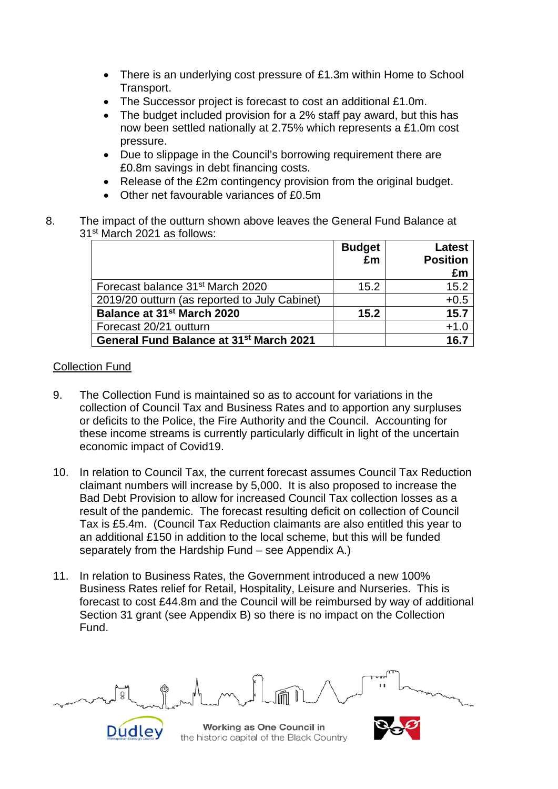- There is an underlying cost pressure of £1.3m within Home to School Transport.
- The Successor project is forecast to cost an additional £1.0m.
- The budget included provision for a 2% staff pay award, but this has now been settled nationally at 2.75% which represents a £1.0m cost pressure.
- Due to slippage in the Council's borrowing requirement there are £0.8m savings in debt financing costs.
- Release of the £2m contingency provision from the original budget.
- Other net favourable variances of £0.5m
- 8. The impact of the outturn shown above leaves the General Fund Balance at 31st March 2021 as follows:

|                                                     | <b>Budget</b><br>£m | <b>Latest</b><br><b>Position</b> |
|-----------------------------------------------------|---------------------|----------------------------------|
|                                                     |                     | £m                               |
| Forecast balance 31 <sup>st</sup> March 2020        | 15.2                | 15.2                             |
| 2019/20 outturn (as reported to July Cabinet)       |                     | $+0.5$                           |
| Balance at 31 <sup>st</sup> March 2020              | 15.2                | 15.7                             |
| Forecast 20/21 outturn                              |                     | $+1.0$                           |
| General Fund Balance at 31 <sup>st</sup> March 2021 |                     | 16.7                             |

#### Collection Fund

- 9. The Collection Fund is maintained so as to account for variations in the collection of Council Tax and Business Rates and to apportion any surpluses or deficits to the Police, the Fire Authority and the Council. Accounting for these income streams is currently particularly difficult in light of the uncertain economic impact of Covid19.
- 10. In relation to Council Tax, the current forecast assumes Council Tax Reduction claimant numbers will increase by 5,000. It is also proposed to increase the Bad Debt Provision to allow for increased Council Tax collection losses as a result of the pandemic. The forecast resulting deficit on collection of Council Tax is £5.4m. (Council Tax Reduction claimants are also entitled this year to an additional £150 in addition to the local scheme, but this will be funded separately from the Hardship Fund – see Appendix A.)
- 11. In relation to Business Rates, the Government introduced a new 100% Business Rates relief for Retail, Hospitality, Leisure and Nurseries. This is forecast to cost £44.8m and the Council will be reimbursed by way of additional Section 31 grant (see Appendix B) so there is no impact on the Collection Fund.



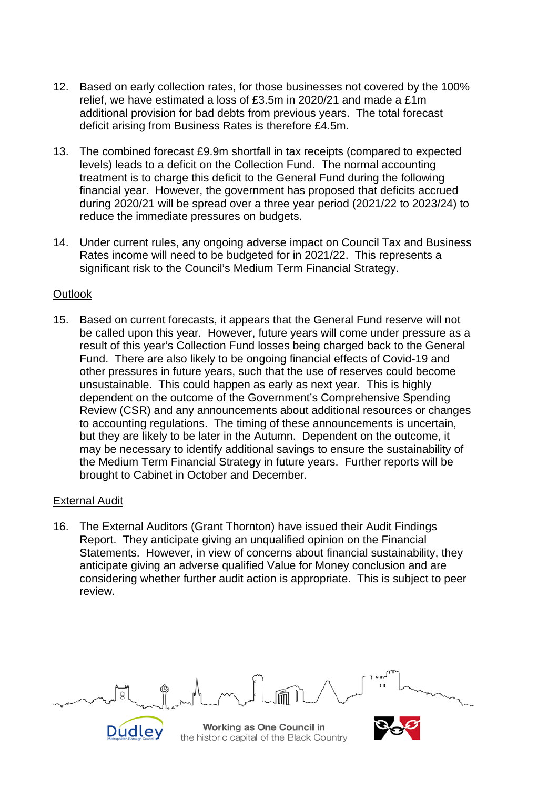- 12. Based on early collection rates, for those businesses not covered by the 100% relief, we have estimated a loss of £3.5m in 2020/21 and made a £1m additional provision for bad debts from previous years. The total forecast deficit arising from Business Rates is therefore £4.5m.
- 13. The combined forecast £9.9m shortfall in tax receipts (compared to expected levels) leads to a deficit on the Collection Fund. The normal accounting treatment is to charge this deficit to the General Fund during the following financial year. However, the government has proposed that deficits accrued during 2020/21 will be spread over a three year period (2021/22 to 2023/24) to reduce the immediate pressures on budgets.
- 14. Under current rules, any ongoing adverse impact on Council Tax and Business Rates income will need to be budgeted for in 2021/22. This represents a significant risk to the Council's Medium Term Financial Strategy.

#### **Outlook**

15. Based on current forecasts, it appears that the General Fund reserve will not be called upon this year. However, future years will come under pressure as a result of this year's Collection Fund losses being charged back to the General Fund. There are also likely to be ongoing financial effects of Covid-19 and other pressures in future years, such that the use of reserves could become unsustainable. This could happen as early as next year. This is highly dependent on the outcome of the Government's Comprehensive Spending Review (CSR) and any announcements about additional resources or changes to accounting regulations. The timing of these announcements is uncertain, but they are likely to be later in the Autumn. Dependent on the outcome, it may be necessary to identify additional savings to ensure the sustainability of the Medium Term Financial Strategy in future years. Further reports will be brought to Cabinet in October and December.

#### External Audit

16. The External Auditors (Grant Thornton) have issued their Audit Findings Report. They anticipate giving an unqualified opinion on the Financial Statements. However, in view of concerns about financial sustainability, they anticipate giving an adverse qualified Value for Money conclusion and are considering whether further audit action is appropriate. This is subject to peer review.



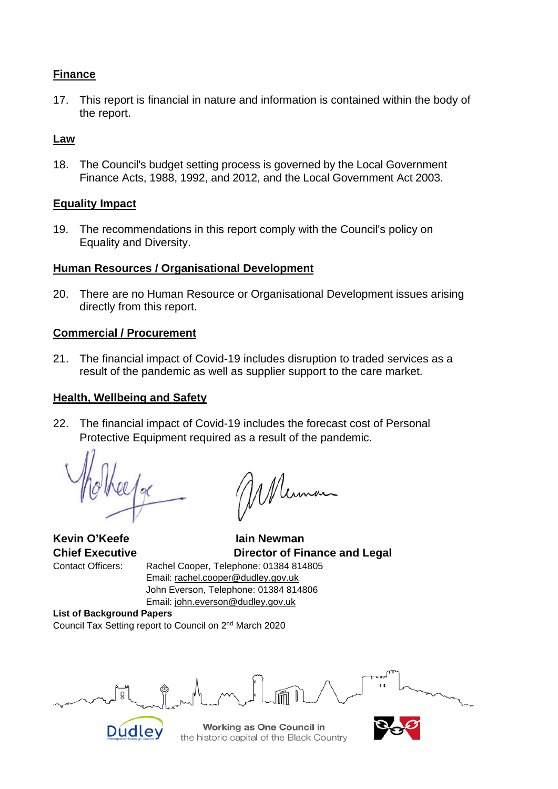#### **Finance**

17. This report is financial in nature and information is contained within the body of the report.

#### **Law**

18. The Council's budget setting process is governed by the Local Government Finance Acts, 1988, 1992, and 2012, and the Local Government Act 2003.

#### **Equality Impact**

19. The recommendations in this report comply with the Council's policy on Equality and Diversity.

#### **Human Resources / Organisational Development**

20. There are no Human Resource or Organisational Development issues arising directly from this report.

#### **Commercial / Procurement**

21. The financial impact of Covid-19 includes disruption to traded services as a result of the pandemic as well as supplier support to the care market.

#### **Health, Wellbeing and Safety**

22. The financial impact of Covid-19 includes the forecast cost of Personal Protective Equipment required as a result of the pandemic.

<sup>o</sup>

**Kevin O'Keefe Iain Newman Chief Executive Director of Finance and Legal** Contact Officers: Rachel Cooper, Telephone: 01384 814805 Email: [rachel.cooper@dudley.gov.uk](mailto:rachel.cooper@dudley.gov.uk) John Everson, Telephone: 01384 814806 Email: [john.everson@dudley.gov.uk](mailto:john.everson@dudley.gov.uk)

**List of Background Papers** Council Tax Setting report to Council on 2nd March 2020

ğ



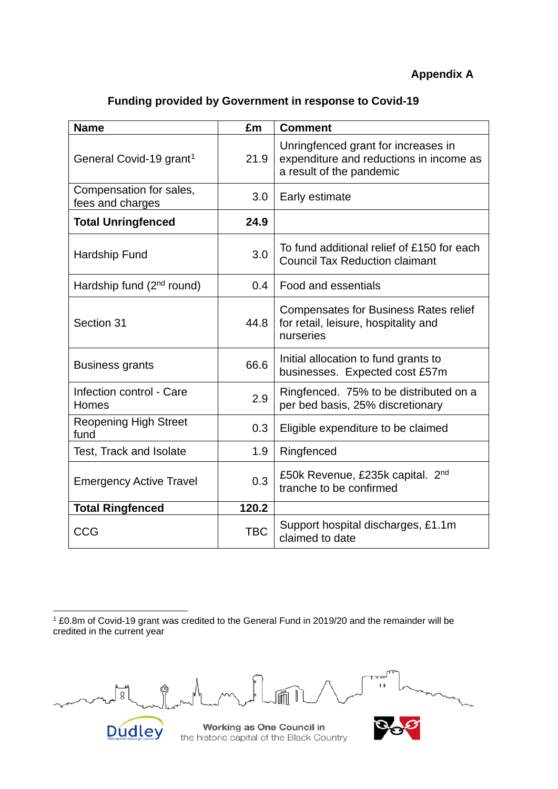## **Appendix A**

|  |  | <b>Funding provided by Government in response to Covid-19</b> |
|--|--|---------------------------------------------------------------|
|--|--|---------------------------------------------------------------|

| <b>Name</b>                                 | £m         | <b>Comment</b>                                                                                             |
|---------------------------------------------|------------|------------------------------------------------------------------------------------------------------------|
| General Covid-19 grant <sup>1</sup>         | 21.9       | Unringfenced grant for increases in<br>expenditure and reductions in income as<br>a result of the pandemic |
| Compensation for sales,<br>fees and charges | 3.0        | Early estimate                                                                                             |
| <b>Total Unringfenced</b>                   | 24.9       |                                                                                                            |
| Hardship Fund                               | 3.0        | To fund additional relief of £150 for each<br><b>Council Tax Reduction claimant</b>                        |
| Hardship fund (2 <sup>nd</sup> round)       | 0.4        | Food and essentials                                                                                        |
| Section 31                                  | 44.8       | <b>Compensates for Business Rates relief</b><br>for retail, leisure, hospitality and<br>nurseries          |
| <b>Business grants</b>                      | 66.6       | Initial allocation to fund grants to<br>businesses. Expected cost £57m                                     |
| Infection control - Care<br>Homes           | 2.9        | Ringfenced. 75% to be distributed on a<br>per bed basis, 25% discretionary                                 |
| <b>Reopening High Street</b><br>fund        | 0.3        | Eligible expenditure to be claimed                                                                         |
| <b>Test, Track and Isolate</b>              | 1.9        | Ringfenced                                                                                                 |
| <b>Emergency Active Travel</b>              | 0.3        | £50k Revenue, £235k capital. 2 <sup>nd</sup><br>tranche to be confirmed                                    |
| <b>Total Ringfenced</b>                     | 120.2      |                                                                                                            |
| <b>CCG</b>                                  | <b>TBC</b> | Support hospital discharges, £1.1m<br>claimed to date                                                      |

<span id="page-5-0"></span><sup>1</sup> £0.8m of Covid-19 grant was credited to the General Fund in 2019/20 and the remainder will be credited in the current year

 $\mathbf{u}$  $\circledcirc$ ∫ g<br>∫



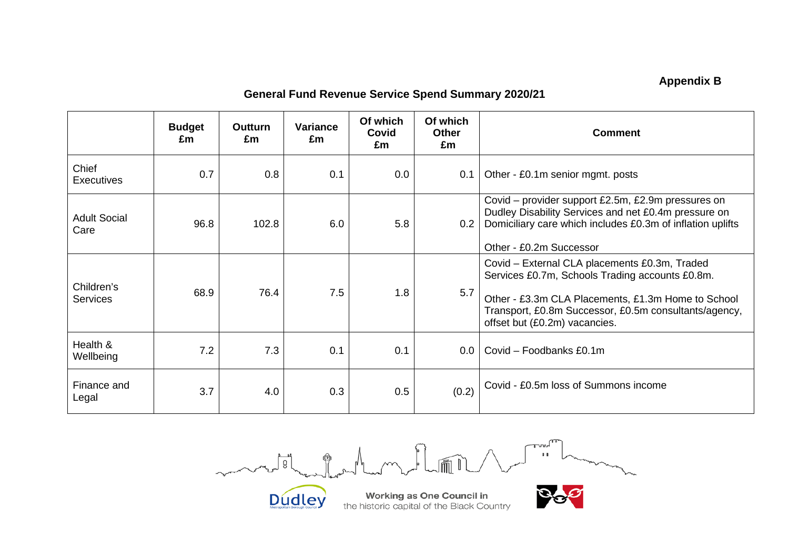## **Appendix B**

## **General Fund Revenue Service Spend Summary 2020/21**

|                               | <b>Budget</b><br>£m | Outturn<br>£m | <b>Variance</b><br>£m | Of which<br>Covid<br>£m | Of which<br><b>Other</b><br>£m | <b>Comment</b>                                                                                                                                                                                                                                   |
|-------------------------------|---------------------|---------------|-----------------------|-------------------------|--------------------------------|--------------------------------------------------------------------------------------------------------------------------------------------------------------------------------------------------------------------------------------------------|
| Chief<br><b>Executives</b>    | 0.7                 | 0.8           | 0.1                   | 0.0                     | 0.1                            | Other - £0.1m senior mgmt. posts                                                                                                                                                                                                                 |
| <b>Adult Social</b><br>Care   | 96.8                | 102.8         | 6.0                   | 5.8                     | 0.2                            | Covid – provider support £2.5m, £2.9m pressures on<br>Dudley Disability Services and net £0.4m pressure on<br>Domiciliary care which includes £0.3m of inflation uplifts<br>Other - £0.2m Successor                                              |
| Children's<br><b>Services</b> | 68.9                | 76.4          | 7.5                   | 1.8                     | 5.7                            | Covid - External CLA placements £0.3m, Traded<br>Services £0.7m, Schools Trading accounts £0.8m.<br>Other - £3.3m CLA Placements, £1.3m Home to School<br>Transport, £0.8m Successor, £0.5m consultants/agency,<br>offset but (£0.2m) vacancies. |
| Health &<br>Wellbeing         | 7.2                 | 7.3           | 0.1                   | 0.1                     | 0.0                            | Covid - Foodbanks £0.1m                                                                                                                                                                                                                          |
| Finance and<br>Legal          | 3.7                 | 4.0           | 0.3                   | 0.5                     | (0.2)                          | Covid - £0.5m loss of Summons income                                                                                                                                                                                                             |

 $T^{\text{unif}}$  $\sim$  $\int_{B}$  $M_{\rm max}$ Lamand

Dudley



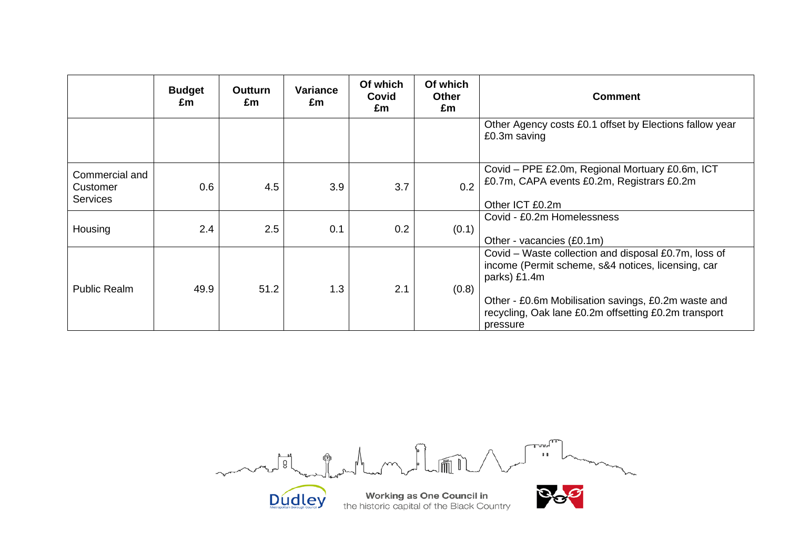|                                               | <b>Budget</b><br>£m | Outturn<br>£m | <b>Variance</b><br>£m | Of which<br>Covid<br>£m | Of which<br><b>Other</b><br>£m | <b>Comment</b>                                                                                                                                                                                                                                        |
|-----------------------------------------------|---------------------|---------------|-----------------------|-------------------------|--------------------------------|-------------------------------------------------------------------------------------------------------------------------------------------------------------------------------------------------------------------------------------------------------|
|                                               |                     |               |                       |                         |                                | Other Agency costs £0.1 offset by Elections fallow year<br>£0.3m saving                                                                                                                                                                               |
| Commercial and<br>Customer<br><b>Services</b> | 0.6                 | 4.5           | 3.9                   | 3.7                     | 0.2                            | Covid - PPE £2.0m, Regional Mortuary £0.6m, ICT<br>£0.7m, CAPA events £0.2m, Registrars £0.2m<br>Other ICT £0.2m                                                                                                                                      |
| Housing                                       | 2.4                 | 2.5           | 0.1                   | 0.2                     | (0.1)                          | Covid - £0.2m Homelessness<br>Other - vacancies (£0.1m)                                                                                                                                                                                               |
| <b>Public Realm</b>                           | 49.9                | 51.2          | 1.3                   | 2.1                     | (0.8)                          | Covid – Waste collection and disposal £0.7m, loss of<br>income (Permit scheme, s&4 notices, licensing, car<br>parks) £1.4m<br>Other - £0.6m Mobilisation savings, £0.2m waste and<br>recycling, Oak lane £0.2m offsetting £0.2m transport<br>pressure |

 $\boxed{\begin{array}{c} \text{true} \\ \text{true} \end{array}}$ months of  $\mu$  m  $\sqrt{m}$ m

Dudley